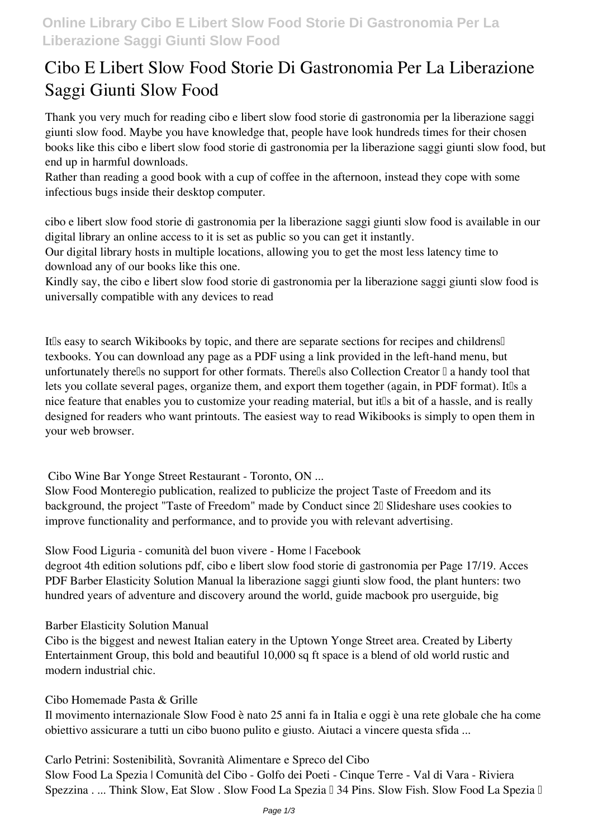# **Cibo E Libert Slow Food Storie Di Gastronomia Per La Liberazione Saggi Giunti Slow Food**

Thank you very much for reading **cibo e libert slow food storie di gastronomia per la liberazione saggi giunti slow food**. Maybe you have knowledge that, people have look hundreds times for their chosen books like this cibo e libert slow food storie di gastronomia per la liberazione saggi giunti slow food, but end up in harmful downloads.

Rather than reading a good book with a cup of coffee in the afternoon, instead they cope with some infectious bugs inside their desktop computer.

cibo e libert slow food storie di gastronomia per la liberazione saggi giunti slow food is available in our digital library an online access to it is set as public so you can get it instantly.

Our digital library hosts in multiple locations, allowing you to get the most less latency time to download any of our books like this one.

Kindly say, the cibo e libert slow food storie di gastronomia per la liberazione saggi giunti slow food is universally compatible with any devices to read

It's easy to search Wikibooks by topic, and there are separate sections for recipes and childrens texbooks. You can download any page as a PDF using a link provided in the left-hand menu, but unfortunately there<sup> $\mathbb I$ </sup>s no support for other formats. There $\mathbb I$ s also Collection Creator  $\mathbb I$  a handy tool that lets you collate several pages, organize them, and export them together (again, in PDF format). It<sup>Is</sup> a nice feature that enables you to customize your reading material, but it s a bit of a hassle, and is really designed for readers who want printouts. The easiest way to read Wikibooks is simply to open them in your web browser.

**Cibo Wine Bar Yonge Street Restaurant - Toronto, ON ...**

Slow Food Monteregio publication, realized to publicize the project Taste of Freedom and its background, the project "Taste of Freedom" made by Conduct since 2 Slideshare uses cookies to improve functionality and performance, and to provide you with relevant advertising.

**Slow Food Liguria - comunità del buon vivere - Home | Facebook**

degroot 4th edition solutions pdf, cibo e libert slow food storie di gastronomia per Page 17/19. Acces PDF Barber Elasticity Solution Manual la liberazione saggi giunti slow food, the plant hunters: two hundred years of adventure and discovery around the world, guide macbook pro userguide, big

## **Barber Elasticity Solution Manual**

Cibo is the biggest and newest Italian eatery in the Uptown Yonge Street area. Created by Liberty Entertainment Group, this bold and beautiful 10,000 sq ft space is a blend of old world rustic and modern industrial chic.

#### **Cibo Homemade Pasta & Grille**

Il movimento internazionale Slow Food è nato 25 anni fa in Italia e oggi è una rete globale che ha come obiettivo assicurare a tutti un cibo buono pulito e giusto. Aiutaci a vincere questa sfida ...

**Carlo Petrini: Sostenibilità, Sovranità Alimentare e Spreco del Cibo** Slow Food La Spezia | Comunità del Cibo - Golfo dei Poeti - Cinque Terre - Val di Vara - Riviera Spezzina . ... Think Slow, Eat Slow . Slow Food La Spezia  $\mathbb I$  34 Pins. Slow Fish. Slow Food La Spezia  $\mathbb I$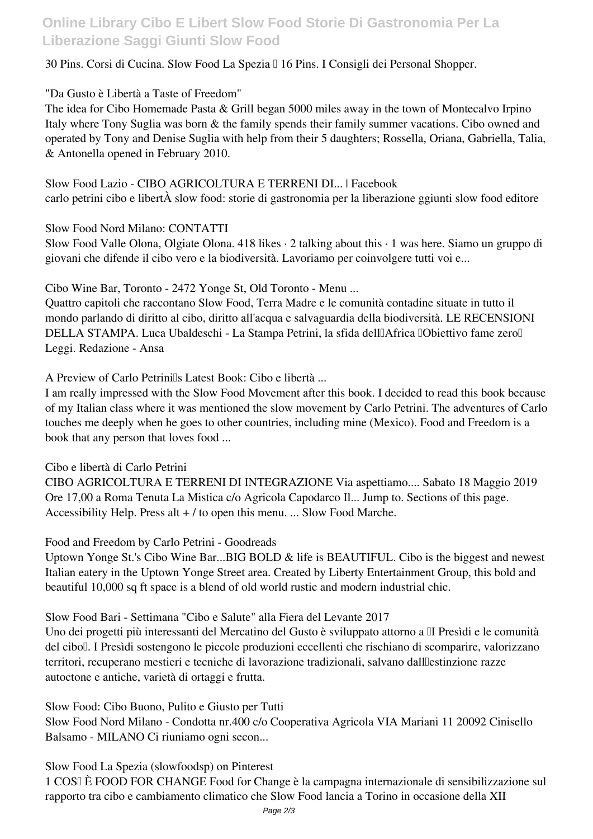# **Online Library Cibo E Libert Slow Food Storie Di Gastronomia Per La Liberazione Saggi Giunti Slow Food**

### 30 Pins. Corsi di Cucina. Slow Food La Spezia • 16 Pins. I Consigli dei Personal Shopper.

### **"Da Gusto è Libertà a Taste of Freedom"**

The idea for Cibo Homemade Pasta & Grill began 5000 miles away in the town of Montecalvo Irpino Italy where Tony Suglia was born & the family spends their family summer vacations. Cibo owned and operated by Tony and Denise Suglia with help from their 5 daughters; Rossella, Oriana, Gabriella, Talia, & Antonella opened in February 2010.

## **Slow Food Lazio - CIBO AGRICOLTURA E TERRENI DI... | Facebook** carlo petrini cibo e libertÀ slow food: storie di gastronomia per la liberazione ggiunti slow food editore

**Slow Food Nord Milano: CONTATTI**

Slow Food Valle Olona, Olgiate Olona. 418 likes · 2 talking about this · 1 was here. Siamo un gruppo di giovani che difende il cibo vero e la biodiversità. Lavoriamo per coinvolgere tutti voi e...

**Cibo Wine Bar, Toronto - 2472 Yonge St, Old Toronto - Menu ...**

Quattro capitoli che raccontano Slow Food, Terra Madre e le comunità contadine situate in tutto il mondo parlando di diritto al cibo, diritto all'acqua e salvaguardia della biodiversità. LE RECENSIONI DELLA STAMPA. Luca Ubaldeschi - La Stampa Petrini, la sfida dell'africa "Obiettivo fame zero" Leggi. Redazione - Ansa

**A Preview of Carlo Petrini's Latest Book: Cibo e libertà ...**

I am really impressed with the Slow Food Movement after this book. I decided to read this book because of my Italian class where it was mentioned the slow movement by Carlo Petrini. The adventures of Carlo touches me deeply when he goes to other countries, including mine (Mexico). Food and Freedom is a book that any person that loves food ...

**Cibo e libertà di Carlo Petrini**

CIBO AGRICOLTURA E TERRENI DI INTEGRAZIONE Via aspettiamo.... Sabato 18 Maggio 2019 Ore 17,00 a Roma Tenuta La Mistica c/o Agricola Capodarco Il... Jump to. Sections of this page. Accessibility Help. Press alt + / to open this menu. ... Slow Food Marche.

**Food and Freedom by Carlo Petrini - Goodreads**

Uptown Yonge St.'s Cibo Wine Bar...BIG BOLD & life is BEAUTIFUL. Cibo is the biggest and newest Italian eatery in the Uptown Yonge Street area. Created by Liberty Entertainment Group, this bold and beautiful 10,000 sq ft space is a blend of old world rustic and modern industrial chic.

**Slow Food Bari - Settimana "Cibo e Salute" alla Fiera del Levante 2017**

Uno dei progetti più interessanti del Mercatino del Gusto è sviluppato attorno a II Presìdi e le comunità del cibo". I Presìdi sostengono le piccole produzioni eccellenti che rischiano di scomparire, valorizzano territori, recuperano mestieri e tecniche di lavorazione tradizionali, salvano dall'estinzione razze autoctone e antiche, varietà di ortaggi e frutta.

**Slow Food: Cibo Buono, Pulito e Giusto per Tutti**

Slow Food Nord Milano - Condotta nr.400 c/o Cooperativa Agricola VIA Mariani 11 20092 Cinisello Balsamo - MILANO Ci riuniamo ogni secon...

**Slow Food La Spezia (slowfoodsp) on Pinterest**

1 COS' È FOOD FOR CHANGE Food for Change è la campagna internazionale di sensibilizzazione sul rapporto tra cibo e cambiamento climatico che Slow Food lancia a Torino in occasione della XII